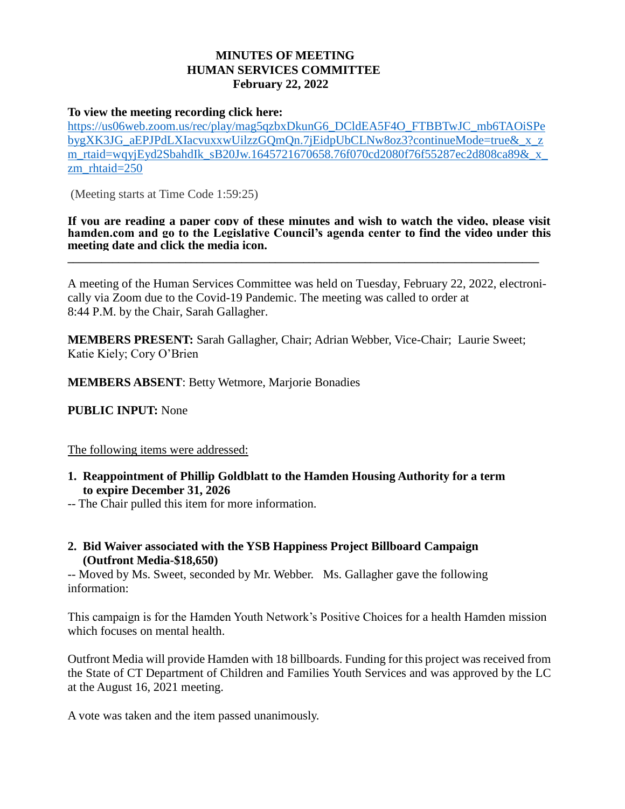## **MINUTES OF MEETING HUMAN SERVICES COMMITTEE February 22, 2022**

## **To view the meeting recording click here:**

[https://us06web.zoom.us/rec/play/mag5qzbxDkunG6\\_DCldEA5F4O\\_FTBBTwJC\\_mb6TAOiSPe](https://us06web.zoom.us/rec/play/mag5qzbxDkunG6_DCldEA5F4O_FTBBTwJC_mb6TAOiSPebygXK3JG_aEPJPdLXIacvuxxwUilzzGQmQn.7jEidpUbCLNw8oz3?continueMode=true&_x_zm_rtaid=wqyjEyd2SbahdIk_sB20Jw.1645721670658.76f070cd2080f76f55287ec2d808ca89&_x_zm_rhtaid=250) [bygXK3JG\\_aEPJPdLXIacvuxxwUilzzGQmQn.7jEidpUbCLNw8oz3?continueMode=true&\\_x\\_z](https://us06web.zoom.us/rec/play/mag5qzbxDkunG6_DCldEA5F4O_FTBBTwJC_mb6TAOiSPebygXK3JG_aEPJPdLXIacvuxxwUilzzGQmQn.7jEidpUbCLNw8oz3?continueMode=true&_x_zm_rtaid=wqyjEyd2SbahdIk_sB20Jw.1645721670658.76f070cd2080f76f55287ec2d808ca89&_x_zm_rhtaid=250) m\_rtaid=wqyjEyd2SbahdIk\_sB20Jw.1645721670658.76f070cd2080f76f55287ec2d808ca89&\_x [zm\\_rhtaid=250](https://us06web.zoom.us/rec/play/mag5qzbxDkunG6_DCldEA5F4O_FTBBTwJC_mb6TAOiSPebygXK3JG_aEPJPdLXIacvuxxwUilzzGQmQn.7jEidpUbCLNw8oz3?continueMode=true&_x_zm_rtaid=wqyjEyd2SbahdIk_sB20Jw.1645721670658.76f070cd2080f76f55287ec2d808ca89&_x_zm_rhtaid=250)

(Meeting starts at Time Code 1:59:25)

**If you are reading a paper copy of these minutes and wish to watch the video, please visit hamden.com and go to the Legislative Council's agenda center to find the video under this meeting date and click the media icon. \_\_\_\_\_\_\_\_\_\_\_\_\_\_\_\_\_\_\_\_\_\_\_\_\_\_\_\_\_\_\_\_\_\_\_\_\_\_\_\_\_\_\_\_\_\_\_\_\_\_\_\_\_\_\_\_\_\_\_\_\_\_\_\_\_\_\_\_\_\_\_\_\_\_\_\_\_\_\_\_\_\_\_\_**

A meeting of the Human Services Committee was held on Tuesday, February 22, 2022, electronically via Zoom due to the Covid-19 Pandemic. The meeting was called to order at 8:44 P.M. by the Chair, Sarah Gallagher.

**MEMBERS PRESENT:** Sarah Gallagher, Chair; Adrian Webber, Vice-Chair; Laurie Sweet; Katie Kiely; Cory O'Brien

**MEMBERS ABSENT**: Betty Wetmore, Marjorie Bonadies

**PUBLIC INPUT:** None

The following items were addressed:

- **1. Reappointment of Phillip Goldblatt to the Hamden Housing Authority for a term to expire December 31, 2026**
- -- The Chair pulled this item for more information.
- **2. Bid Waiver associated with the YSB Happiness Project Billboard Campaign (Outfront Media-\$18,650)**

-- Moved by Ms. Sweet, seconded by Mr. Webber. Ms. Gallagher gave the following information:

This campaign is for the Hamden Youth Network's Positive Choices for a health Hamden mission which focuses on mental health.

Outfront Media will provide Hamden with 18 billboards. Funding for this project was received from the State of CT Department of Children and Families Youth Services and was approved by the LC at the August 16, 2021 meeting.

A vote was taken and the item passed unanimously.